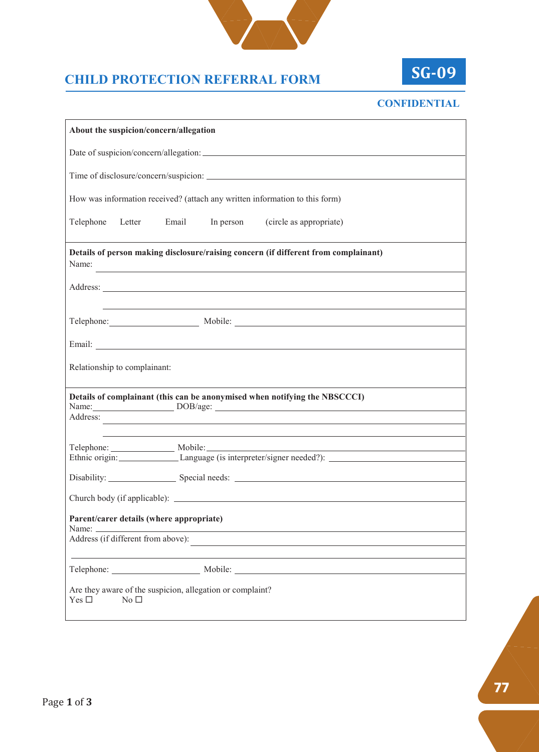

## **CHILD PROTECTION REFERRAL FORM**



## **CONFIDENTIAL**

| About the suspicion/concern/allegation   |                                                                                                                                                                                                                                |  |
|------------------------------------------|--------------------------------------------------------------------------------------------------------------------------------------------------------------------------------------------------------------------------------|--|
|                                          |                                                                                                                                                                                                                                |  |
|                                          | Time of disclosure/concern/suspicion:                                                                                                                                                                                          |  |
|                                          | How was information received? (attach any written information to this form)                                                                                                                                                    |  |
|                                          | Telephone Letter Email In person (circle as appropriate)                                                                                                                                                                       |  |
|                                          | Details of person making disclosure/raising concern (if different from complainant)<br>Name:                                                                                                                                   |  |
|                                          | Address: <u>Address:</u> Address: 2007                                                                                                                                                                                         |  |
|                                          | Telephone: Mobile: Mobile: Mobile: Mobile: Mobile: Mobile: Mobile: Mobile: Mobile: Mobile: Mobile: Mobile: Mobile: Mobile: Mobile: Mobile: Mobile: Mobile: Mobile: Mobile: Mobile: Mobile: Mobile: Mobile: Mobile: Mobile: Mob |  |
|                                          |                                                                                                                                                                                                                                |  |
| Relationship to complainant:             |                                                                                                                                                                                                                                |  |
|                                          | Details of complainant (this can be anonymised when notifying the NBSCCCI)                                                                                                                                                     |  |
| Address:                                 | <u> 1999 - Jan Samuel Barbara, martin da shekara ta 1991 - An tsara tsara tsara tsara tsara tsara tsara tsara tsa</u>                                                                                                          |  |
|                                          | ,我们也不会有什么。""我们的人,我们也不会有什么?""我们的人,我们也不会有什么?""我们的人,我们也不会有什么?""我们的人,我们也不会有什么?""我们的人                                                                                                                                               |  |
|                                          |                                                                                                                                                                                                                                |  |
|                                          |                                                                                                                                                                                                                                |  |
|                                          | Church body (if applicable):                                                                                                                                                                                                   |  |
| Parent/carer details (where appropriate) |                                                                                                                                                                                                                                |  |
| Address (if different from above):       |                                                                                                                                                                                                                                |  |
|                                          |                                                                                                                                                                                                                                |  |
| Yes $\square$<br>No $\Box$               | Are they aware of the suspicion, allegation or complaint?                                                                                                                                                                      |  |

**77**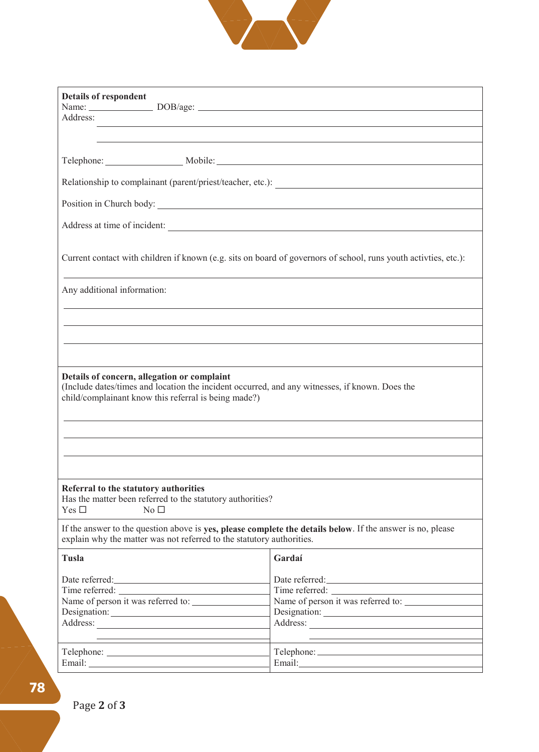

| <b>Details of respondent</b>                                          |                                                                                                                       |
|-----------------------------------------------------------------------|-----------------------------------------------------------------------------------------------------------------------|
| Address:                                                              |                                                                                                                       |
|                                                                       | <u> 1989 - Johann Stoff, deutscher Stoff, der Stoff, der Stoff, der Stoff, der Stoff, der Stoff, der Stoff, der S</u> |
|                                                                       |                                                                                                                       |
|                                                                       |                                                                                                                       |
|                                                                       |                                                                                                                       |
|                                                                       | Position in Church body:                                                                                              |
|                                                                       | Address at time of incident:                                                                                          |
|                                                                       |                                                                                                                       |
|                                                                       | Current contact with children if known (e.g. sits on board of governors of school, runs youth activities, etc.):      |
|                                                                       |                                                                                                                       |
| Any additional information:                                           |                                                                                                                       |
|                                                                       |                                                                                                                       |
|                                                                       |                                                                                                                       |
|                                                                       | ,我们也不会有什么。""我们的人,我们也不会有什么?""我们的人,我们也不会有什么?""我们的人,我们也不会有什么?""我们的人,我们也不会有什么?""我们的人                                      |
|                                                                       |                                                                                                                       |
| Details of concern, allegation or complaint                           |                                                                                                                       |
| child/complainant know this referral is being made?)                  | (Include dates/times and location the incident occurred, and any witnesses, if known. Does the                        |
|                                                                       |                                                                                                                       |
|                                                                       |                                                                                                                       |
|                                                                       |                                                                                                                       |
|                                                                       |                                                                                                                       |
| Referral to the statutory authorities                                 |                                                                                                                       |
| Has the matter been referred to the statutory authorities?            |                                                                                                                       |
| Yes $\Box$<br>No <sub>1</sub>                                         |                                                                                                                       |
| explain why the matter was not referred to the statutory authorities. | If the answer to the question above is yes, please complete the details below. If the answer is no, please            |
|                                                                       |                                                                                                                       |
| Tusla                                                                 | Gardaí                                                                                                                |
|                                                                       |                                                                                                                       |
|                                                                       | Name of person it was referred to:                                                                                    |
|                                                                       |                                                                                                                       |
| Address: No. 1998                                                     |                                                                                                                       |
|                                                                       |                                                                                                                       |
|                                                                       |                                                                                                                       |
|                                                                       | Email: and the contract of the contract of the contract of the contract of the contract of the contract of the        |